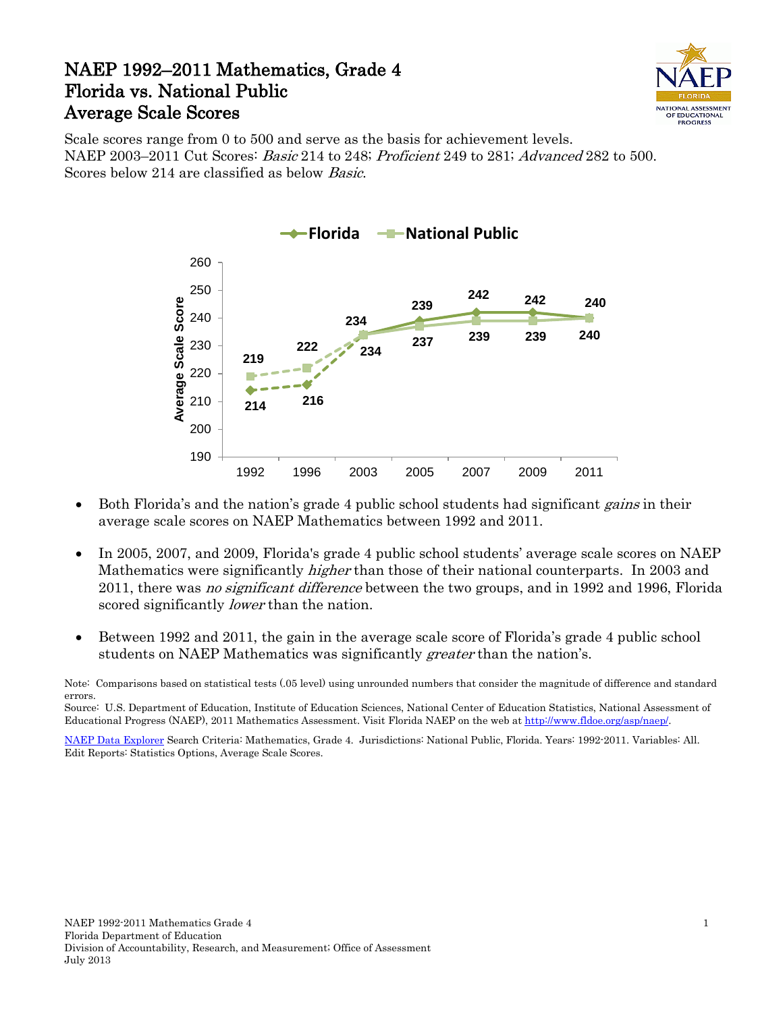## NAEP 1992–2011 Mathematics, Grade 4 Florida vs. National Public Average Scale Scores



Scale scores range from 0 to 500 and serve as the basis for achievement levels. NAEP 2003–2011 Cut Scores: Basic 214 to 248; Proficient 249 to 281; Advanced 282 to 500. Scores below 214 are classified as below Basic.



- Both Florida's and the nation's grade 4 public school students had significant *gains* in their average scale scores on NAEP Mathematics between 1992 and 2011.
- In 2005, 2007, and 2009, Florida's grade 4 public school students' average scale scores on NAEP Mathematics were significantly *higher* than those of their national counterparts. In 2003 and 2011, there was *no significant difference* between the two groups, and in 1992 and 1996, Florida scored significantly *lower* than the nation.
- Between 1992 and 2011, the gain in the average scale score of Florida's grade 4 public school students on NAEP Mathematics was significantly *greater* than the nation's.

Source: U.S. Department of Education, Institute of Education Sciences, National Center of Education Statistics, National Assessment of Educational Progress (NAEP), 2011 Mathematics Assessment. Visit Florida NAEP on the web a[t http://www.fldoe.org/asp/naep/.](http://www.fldoe.org/asp/naep/)

[NAEP Data](http://nces.ed.gov/nationsreportcard/naepdata/) Explorer Search Criteria: Mathematics, Grade 4. Jurisdictions: National Public, Florida. Years: 1992-2011. Variables: All. Edit Reports: Statistics Options, Average Scale Scores.

Note: Comparisons based on statistical tests (.05 level) using unrounded numbers that consider the magnitude of difference and standard errors.